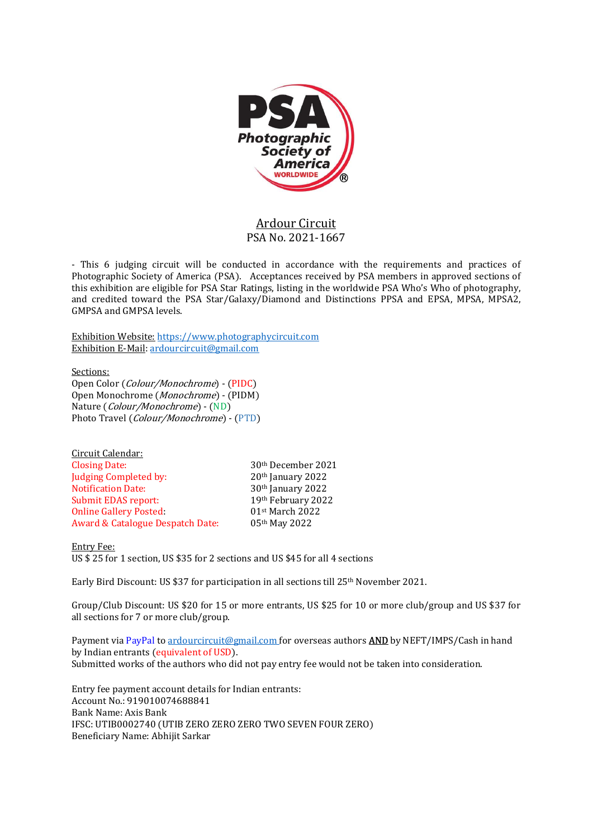

# Ardour Circuit PSA No. 2021-1667

- This 6 judging circuit will be conducted in accordance with the requirements and practices of Photographic Society of America (PSA). Acceptances received by PSA members in approved sections of this exhibition are eligible for PSA Star Ratings, listing in the worldwide PSA Who's Who of photography, and credited toward the PSA Star/Galaxy/Diamond and Distinctions PPSA and EPSA, MPSA, MPSA2, GMPSA and GMPSA levels.

Exhibition Website: https://www.photographycircuit.com Exhibition E-Mail: ardourcircuit@gmail.com

Sections: Open Color (Colour/Monochrome) - (PIDC) Open Monochrome (Monochrome) - (PIDM) Nature (Colour/Monochrome) - (ND) Photo Travel (Colour/Monochrome) - (PTD)

| <u>Circuit Calendar:</u>                    |                                |
|---------------------------------------------|--------------------------------|
| <b>Closing Date:</b>                        | 30 <sup>th</sup> December 2021 |
| Judging Completed by:                       | 20th January 2022              |
| <b>Notification Date:</b>                   | 30th January 2022              |
| <b>Submit EDAS report:</b>                  | 19th February 2022             |
| <b>Online Gallery Posted:</b>               | 01st March 2022                |
| <b>Award &amp; Catalogue Despatch Date:</b> | 05th May 2022                  |

Entry Fee: US \$ 25 for 1 section, US \$35 for 2 sections and US \$45 for all 4 sections

Early Bird Discount: US \$37 for participation in all sections till 25th November 2021.

Group/Club Discount: US \$20 for 15 or more entrants, US \$25 for 10 or more club/group and US \$37 for all sections for 7 or more club/group.

Payment via PayPal to ardourcircuit@gmail.com for overseas authors **AND** by NEFT/IMPS/Cash in hand by Indian entrants (equivalent of USD). Submitted works of the authors who did not pay entry fee would not be taken into consideration.

Entry fee payment account details for Indian entrants: Account No.: 919010074688841 Bank Name: Axis Bank IFSC: UTIB0002740 (UTIB ZERO ZERO ZERO TWO SEVEN FOUR ZERO) Beneficiary Name: Abhijit Sarkar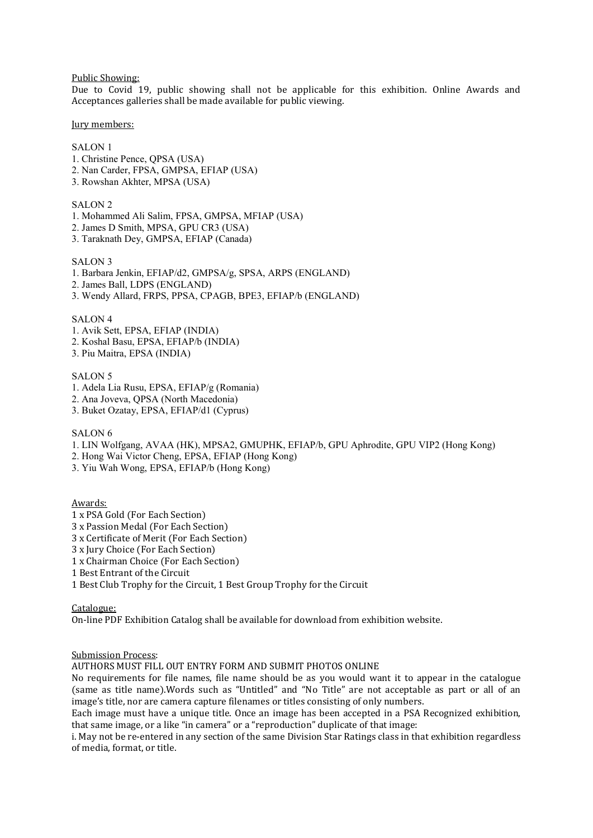Public Showing:

Due to Covid 19, public showing shall not be applicable for this exhibition. Online Awards and Acceptances galleries shall be made available for public viewing.

Jury members:

## SALON 1

- 1. Christine Pence, QPSA (USA)
- 2. Nan Carder, FPSA, GMPSA, EFIAP (USA)
- 3. Rowshan Akhter, MPSA (USA)

## SALON<sub>2</sub>

- 1. Mohammed Ali Salim, FPSA, GMPSA, MFIAP (USA)
- 2. James D Smith, MPSA, GPU CR3 (USA)
- 3. Taraknath Dey, GMPSA, EFIAP (Canada)

## SALON 3

- 1. Barbara Jenkin, EFIAP/d2, GMPSA/g, SPSA, ARPS (ENGLAND)
- 2. James Ball, LDPS (ENGLAND)
- 3. Wendy Allard, FRPS, PPSA, CPAGB, BPE3, EFIAP/b (ENGLAND)

#### SALON 4

- 1. Avik Sett, EPSA, EFIAP (INDIA)
- 2. Koshal Basu, EPSA, EFIAP/b (INDIA)
- 3. Piu Maitra, EPSA (INDIA)

#### SALON 5

- 1. Adela Lia Rusu, EPSA, EFIAP/g (Romania)
- 2. Ana Joveva, QPSA (North Macedonia)
- 3. Buket Ozatay, EPSA, EFIAP/d1 (Cyprus)

# SALON<sub>6</sub>

- 1. LIN Wolfgang, AVAA (HK), MPSA2, GMUPHK, EFIAP/b, GPU Aphrodite, GPU VIP2 (Hong Kong)
- 2. Hong Wai Victor Cheng, EPSA, EFIAP (Hong Kong)
- 3. Yiu Wah Wong, EPSA, EFIAP/b (Hong Kong)

Awards:

- 1 x PSA Gold (For Each Section)
- 3 x Passion Medal (For Each Section)
- 3 x Certificate of Merit (For Each Section)
- 3 x Jury Choice (For Each Section)
- 1 x Chairman Choice (For Each Section)
- 1 Best Entrant of the Circuit
- 1 Best Club Trophy for the Circuit, 1 Best Group Trophy for the Circuit

Catalogue:

On-line PDF Exhibition Catalog shall be available for download from exhibition website.

#### Submission Process:

AUTHORS MUST FILL OUT ENTRY FORM AND SUBMIT PHOTOS ONLINE

No requirements for file names, file name should be as you would want it to appear in the catalogue (same as title name).Words such as "Untitled" and "No Title" are not acceptable as part or all of an image's title, nor are camera capture filenames or titles consisting of only numbers.

Each image must have a unique title. Once an image has been accepted in a PSA Recognized exhibition, that same image, or a like "in camera" or a "reproduction" duplicate of that image:

i. May not be re-entered in any section of the same Division Star Ratings class in that exhibition regardless of media, format, or title.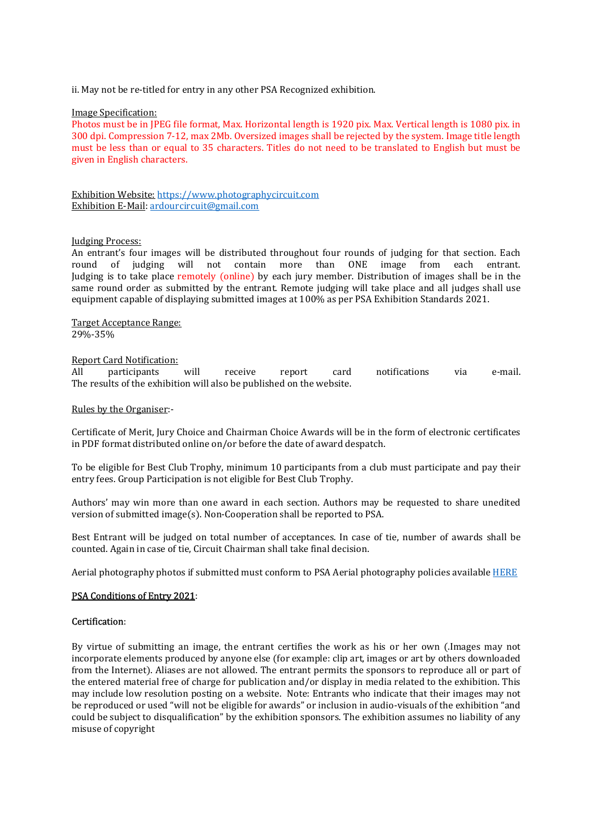ii. May not be re-titled for entry in any other PSA Recognized exhibition.

## Image Specification:

Photos must be in JPEG file format, Max. Horizontal length is 1920 pix. Max. Vertical length is 1080 pix. in 300 dpi. Compression 7-12, max 2Mb. Oversized images shall be rejected by the system. Image title length must be less than or equal to 35 characters. Titles do not need to be translated to English but must be given in English characters.

Exhibition Website: https://www.photographycircuit.com Exhibition E-Mail: ardourcircuit@gmail.com

# Judging Process:

An entrant's four images will be distributed throughout four rounds of judging for that section. Each round of judging will not contain more than ONE image from each entrant. Judging is to take place remotely (online) by each jury member. Distribution of images shall be in the same round order as submitted by the entrant. Remote judging will take place and all judges shall use equipment capable of displaying submitted images at 100% as per PSA Exhibition Standards 2021.

Target Acceptance Range: 29%-35%

## Report Card Notification:

All participants will receive report card notifications via e-mail. The results of the exhibition will also be published on the website.

## Rules by the Organiser:-

Certificate of Merit, Jury Choice and Chairman Choice Awards will be in the form of electronic certificates in PDF format distributed online on/or before the date of award despatch.

To be eligible for Best Club Trophy, minimum 10 participants from a club must participate and pay their entry fees. Group Participation is not eligible for Best Club Trophy.

Authors' may win more than one award in each section. Authors may be requested to share unedited version of submitted image(s). Non-Cooperation shall be reported to PSA.

Best Entrant will be judged on total number of acceptances. In case of tie, number of awards shall be counted. Again in case of tie, Circuit Chairman shall take final decision.

Aerial photography photos if submitted must conform to PSA Aerial photography policies available HERE

# PSA Conditions of Entry 2021:

# Certification:

By virtue of submitting an image, the entrant certifies the work as his or her own (.Images may not incorporate elements produced by anyone else (for example: clip art, images or art by others downloaded from the Internet). Aliases are not allowed. The entrant permits the sponsors to reproduce all or part of the entered material free of charge for publication and/or display in media related to the exhibition. This may include low resolution posting on a website. Note: Entrants who indicate that their images may not be reproduced or used "will not be eligible for awards" or inclusion in audio-visuals of the exhibition "and could be subject to disqualification" by the exhibition sponsors. The exhibition assumes no liability of any misuse of copyright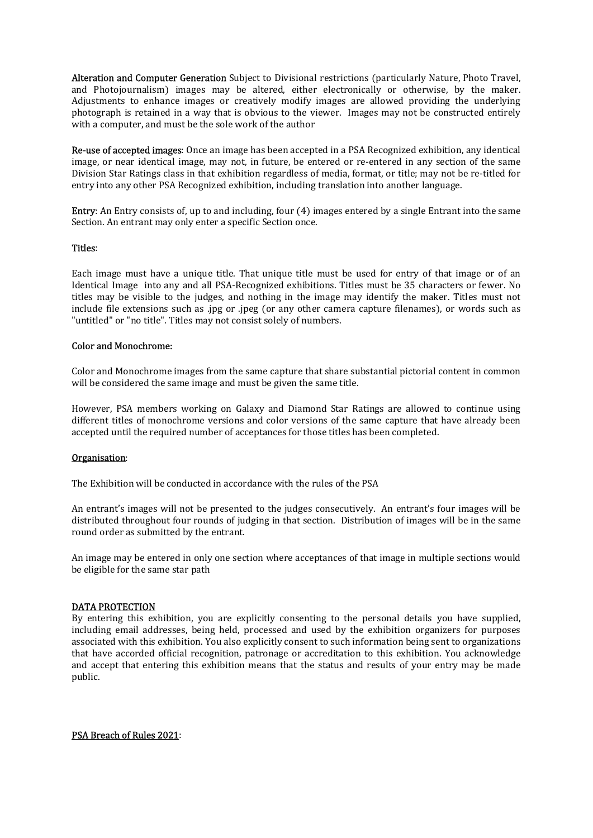Alteration and Computer Generation Subject to Divisional restrictions (particularly Nature, Photo Travel, and Photojournalism) images may be altered, either electronically or otherwise, by the maker. Adjustments to enhance images or creatively modify images are allowed providing the underlying photograph is retained in a way that is obvious to the viewer. Images may not be constructed entirely with a computer, and must be the sole work of the author

Re-use of accepted images: Once an image has been accepted in a PSA Recognized exhibition, any identical image, or near identical image, may not, in future, be entered or re-entered in any section of the same Division Star Ratings class in that exhibition regardless of media, format, or title; may not be re-titled for entry into any other PSA Recognized exhibition, including translation into another language.

Entry: An Entry consists of, up to and including, four (4) images entered by a single Entrant into the same Section. An entrant may only enter a specific Section once.

## Titles:

Each image must have a unique title. That unique title must be used for entry of that image or of an Identical Image into any and all PSA-Recognized exhibitions. Titles must be 35 characters or fewer. No titles may be visible to the judges, and nothing in the image may identify the maker. Titles must not include file extensions such as .jpg or .jpeg (or any other camera capture filenames), or words such as "untitled" or "no title". Titles may not consist solely of numbers.

## Color and Monochrome:

Color and Monochrome images from the same capture that share substantial pictorial content in common will be considered the same image and must be given the same title.

However, PSA members working on Galaxy and Diamond Star Ratings are allowed to continue using different titles of monochrome versions and color versions of the same capture that have already been accepted until the required number of acceptances for those titles has been completed.

#### Organisation:

The Exhibition will be conducted in accordance with the rules of the PSA

An entrant's images will not be presented to the judges consecutively. An entrant's four images will be distributed throughout four rounds of judging in that section. Distribution of images will be in the same round order as submitted by the entrant.

An image may be entered in only one section where acceptances of that image in multiple sections would be eligible for the same star path

#### DATA PROTECTION

By entering this exhibition, you are explicitly consenting to the personal details you have supplied, including email addresses, being held, processed and used by the exhibition organizers for purposes associated with this exhibition. You also explicitly consent to such information being sent to organizations that have accorded official recognition, patronage or accreditation to this exhibition. You acknowledge and accept that entering this exhibition means that the status and results of your entry may be made public.

## PSA Breach of Rules 2021: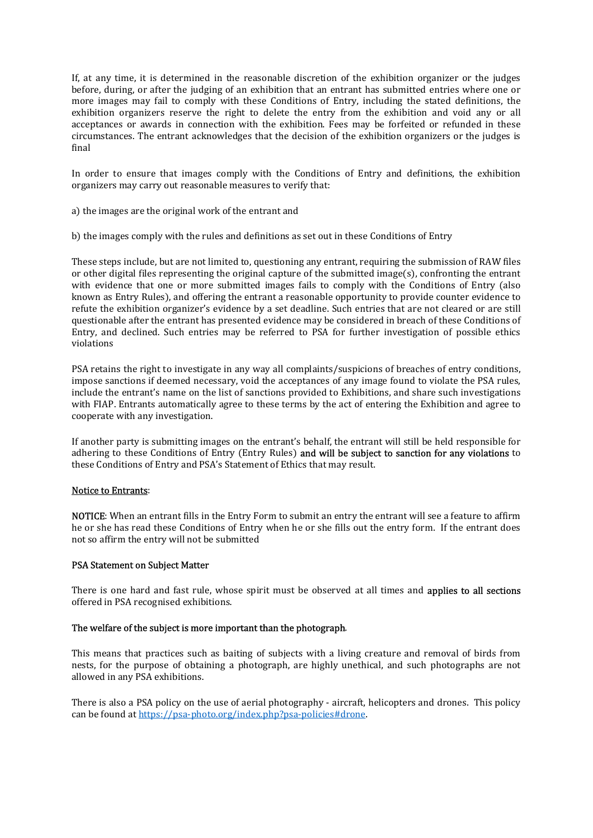If, at any time, it is determined in the reasonable discretion of the exhibition organizer or the judges before, during, or after the judging of an exhibition that an entrant has submitted entries where one or more images may fail to comply with these Conditions of Entry, including the stated definitions, the exhibition organizers reserve the right to delete the entry from the exhibition and void any or all acceptances or awards in connection with the exhibition. Fees may be forfeited or refunded in these circumstances. The entrant acknowledges that the decision of the exhibition organizers or the judges is final

In order to ensure that images comply with the Conditions of Entry and definitions, the exhibition organizers may carry out reasonable measures to verify that:

- a) the images are the original work of the entrant and
- b) the images comply with the rules and definitions as set out in these Conditions of Entry

These steps include, but are not limited to, questioning any entrant, requiring the submission of RAW files or other digital files representing the original capture of the submitted image(s), confronting the entrant with evidence that one or more submitted images fails to comply with the Conditions of Entry (also known as Entry Rules), and offering the entrant a reasonable opportunity to provide counter evidence to refute the exhibition organizer's evidence by a set deadline. Such entries that are not cleared or are still questionable after the entrant has presented evidence may be considered in breach of these Conditions of Entry, and declined. Such entries may be referred to PSA for further investigation of possible ethics violations

PSA retains the right to investigate in any way all complaints/suspicions of breaches of entry conditions, impose sanctions if deemed necessary, void the acceptances of any image found to violate the PSA rules, include the entrant's name on the list of sanctions provided to Exhibitions, and share such investigations with FIAP. Entrants automatically agree to these terms by the act of entering the Exhibition and agree to cooperate with any investigation.

If another party is submitting images on the entrant's behalf, the entrant will still be held responsible for adhering to these Conditions of Entry (Entry Rules) and will be subject to sanction for any violations to these Conditions of Entry and PSA's Statement of Ethics that may result.

# Notice to Entrants:

NOTICE: When an entrant fills in the Entry Form to submit an entry the entrant will see a feature to affirm he or she has read these Conditions of Entry when he or she fills out the entry form. If the entrant does not so affirm the entry will not be submitted

#### PSA Statement on Subject Matter

There is one hard and fast rule, whose spirit must be observed at all times and **applies to all sections** offered in PSA recognised exhibitions.

## The welfare of the subject is more important than the photograph.

This means that practices such as baiting of subjects with a living creature and removal of birds from nests, for the purpose of obtaining a photograph, are highly unethical, and such photographs are not allowed in any PSA exhibitions.

There is also a PSA policy on the use of aerial photography - aircraft, helicopters and drones. This policy can be found at https://psa-photo.org/index.php?psa-policies#drone.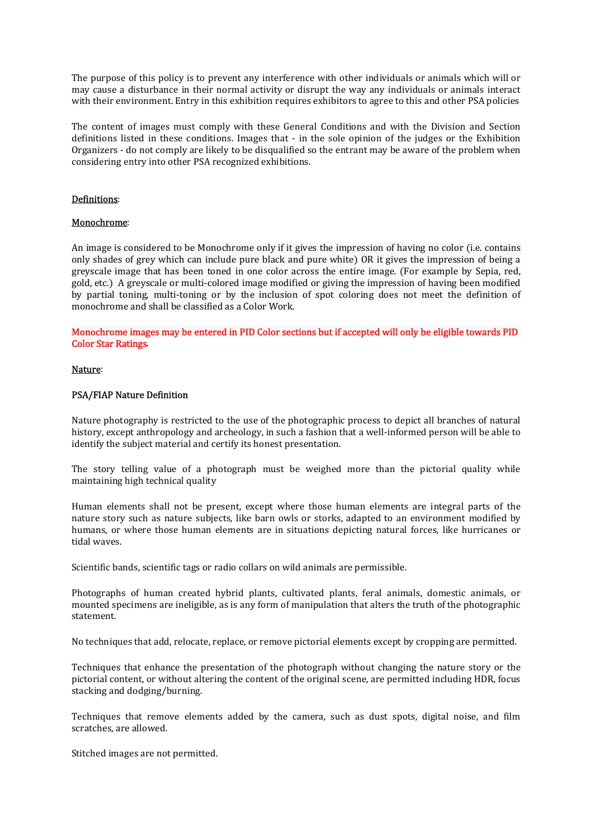The purpose of this policy is to prevent any interference with other individuals or animals which will or may cause a disturbance in their normal activity or disrupt the way any individuals or animals interact with their environment. Entry in this exhibition requires exhibitors to agree to this and other PSA policies

The content of images must comply with these General Conditions and with the Division and Section definitions listed in these conditions. Images that - in the sole opinion of the judges or the Exhibition Organizers - do not comply are likely to be disqualified so the entrant may be aware of the problem when considering entry into other PSA recognized exhibitions.

# Definitions:

## Monochrome:

An image is considered to be Monochrome only if it gives the impression of having no color (i.e. contains only shades of grey which can include pure black and pure white) OR it gives the impression of being a greyscale image that has been toned in one color across the entire image. (For example by Sepia, red, gold, etc.) A greyscale or multi-colored image modified or giving the impression of having been modified by partial toning, multi-toning or by the inclusion of spot coloring does not meet the definition of monochrome and shall be classified as a Color Work.

Monochrome images may be entered in PID Color sections but if accepted will only be eligible towards PID Color Star Ratings.

## Nature:

## PSA/FIAP Nature Definition

Nature photography is restricted to the use of the photographic process to depict all branches of natural history, except anthropology and archeology, in such a fashion that a well-informed person will be able to identify the subject material and certify its honest presentation.

The story telling value of a photograph must be weighed more than the pictorial quality while maintaining high technical quality

Human elements shall not be present, except where those human elements are integral parts of the nature story such as nature subjects, like barn owls or storks, adapted to an environment modified by humans, or where those human elements are in situations depicting natural forces, like hurricanes or tidal waves.

Scientific bands, scientific tags or radio collars on wild animals are permissible.

Photographs of human created hybrid plants, cultivated plants, feral animals, domestic animals, or mounted specimens are ineligible, as is any form of manipulation that alters the truth of the photographic statement.

No techniques that add, relocate, replace, or remove pictorial elements except by cropping are permitted.

Techniques that enhance the presentation of the photograph without changing the nature story or the pictorial content, or without altering the content of the original scene, are permitted including HDR, focus stacking and dodging/burning.

Techniques that remove elements added by the camera, such as dust spots, digital noise, and film scratches, are allowed.

Stitched images are not permitted.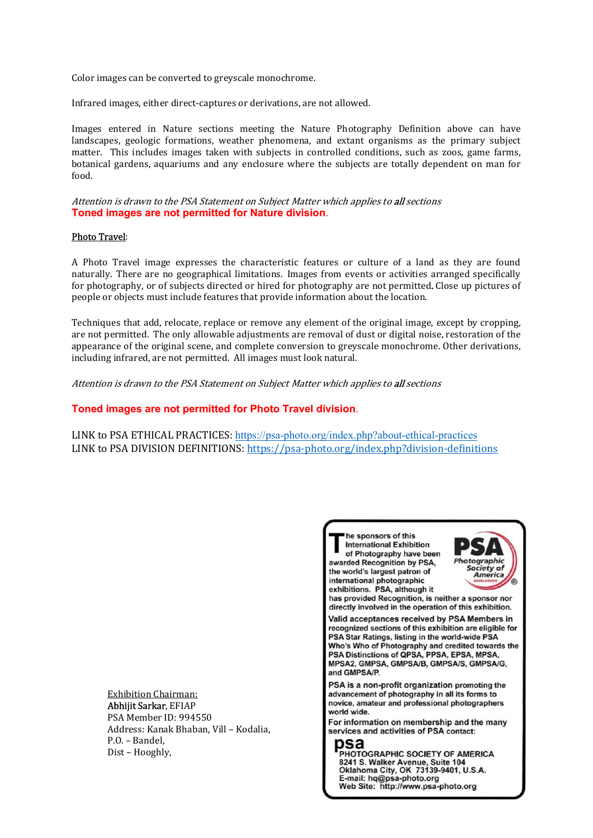Color images can be converted to greyscale monochrome.

Infrared images, either direct-captures or derivations, are not allowed.

Images entered in Nature sections meeting the Nature Photography Definition above can have landscapes, geologic formations, weather phenomena, and extant organisms as the primary subject matter. This includes images taken with subjects in controlled conditions, such as zoos, game farms, botanical gardens, aquariums and any enclosure where the subjects are totally dependent on man for food.

Attention is drawn to the PSA Statement on Subject Matter which applies to all sections Toned images are not permitted for Nature division.

# Photo Travel:

A Photo Travel image expresses the characteristic features or culture of a land as they are found naturally. There are no geographical limitations. Images from events or activities arranged specifically for photography, or of subjects directed or hired for photography are not permitted. Close up pictures of people or objects must include features that provide information about the location.

Techniques that add, relocate, replace or remove any element of the original image, except by cropping, are not permitted. The only allowable adjustments are removal of dust or digital noise, restoration of the appearance of the original scene, and complete conversion to greyscale monochrome. Other derivations, including infrared, are not permitted. All images must look natural.

Attention is drawn to the PSA Statement on Subject Matter which applies to all sections

# Toned images are not permitted for Photo Travel division.

LINK to PSA ETHICAL PRACTICES: https://psa-photo.org/index.php?about-ethical-practices LINK to PSA DIVISION DEFINITIONS: https://psa-photo.org/index.php?division-definitions

Exhibition Chairman: Abhijit Sarkar, EFIAP PSA Member ID: 994550 Address: Kanak Bhaban, Vill – Kodalia, P.O. – Bandel, Dist – Hooghly,



E-mail: hq@psa-photo.org

Web Site: http://www.psa-photo.org